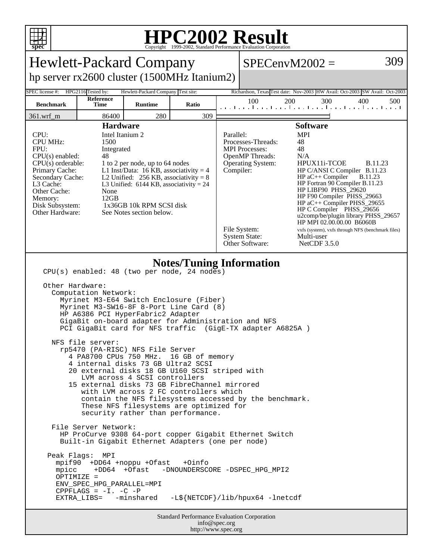

## **HPC2002 Result**

|                                                                                                                                                                                                                                                                                                                                                                                                                                                                                                                                                                                                                                                                                                                                                                                                                                                                                                                                                                                                                                                                                                                                                                                                                                                                 |                          |                                    |       |  | $SPECenvM2002 =$                                                                                                                                                    |                                                                                                                                                                                                                                                                                                                                                                                                                                  | 309                              |  |  |  |
|-----------------------------------------------------------------------------------------------------------------------------------------------------------------------------------------------------------------------------------------------------------------------------------------------------------------------------------------------------------------------------------------------------------------------------------------------------------------------------------------------------------------------------------------------------------------------------------------------------------------------------------------------------------------------------------------------------------------------------------------------------------------------------------------------------------------------------------------------------------------------------------------------------------------------------------------------------------------------------------------------------------------------------------------------------------------------------------------------------------------------------------------------------------------------------------------------------------------------------------------------------------------|--------------------------|------------------------------------|-------|--|---------------------------------------------------------------------------------------------------------------------------------------------------------------------|----------------------------------------------------------------------------------------------------------------------------------------------------------------------------------------------------------------------------------------------------------------------------------------------------------------------------------------------------------------------------------------------------------------------------------|----------------------------------|--|--|--|
| <b>Hewlett-Packard Company</b><br>hp server rx2600 cluster (1500MHz Itanium2)                                                                                                                                                                                                                                                                                                                                                                                                                                                                                                                                                                                                                                                                                                                                                                                                                                                                                                                                                                                                                                                                                                                                                                                   |                          |                                    |       |  |                                                                                                                                                                     |                                                                                                                                                                                                                                                                                                                                                                                                                                  |                                  |  |  |  |
| <b>SPEC</b> license #:                                                                                                                                                                                                                                                                                                                                                                                                                                                                                                                                                                                                                                                                                                                                                                                                                                                                                                                                                                                                                                                                                                                                                                                                                                          | HPG2116 Tested by:       | Hewlett-Packard Company Test site: |       |  |                                                                                                                                                                     | Richardson, Texas Test date: Nov-2003 HW Avail: Oct-2003 SW Avail: Oct-2003                                                                                                                                                                                                                                                                                                                                                      |                                  |  |  |  |
| <b>Benchmark</b>                                                                                                                                                                                                                                                                                                                                                                                                                                                                                                                                                                                                                                                                                                                                                                                                                                                                                                                                                                                                                                                                                                                                                                                                                                                | Reference<br><b>Time</b> | <b>Runtime</b>                     | Ratio |  | 100<br>200                                                                                                                                                          | 300<br>المتما وبالمتبارين المتمارين المتمارين المتمارين                                                                                                                                                                                                                                                                                                                                                                          | 400<br>500                       |  |  |  |
| $361.wrf_m$                                                                                                                                                                                                                                                                                                                                                                                                                                                                                                                                                                                                                                                                                                                                                                                                                                                                                                                                                                                                                                                                                                                                                                                                                                                     | 86400                    | 280                                | 309   |  |                                                                                                                                                                     |                                                                                                                                                                                                                                                                                                                                                                                                                                  |                                  |  |  |  |
| <b>Hardware</b><br>CPU:<br>Intel Itanium 2<br><b>CPU MHz:</b><br>1500<br>FPU:<br>Integrated<br>CPU(s) enabled:<br>48<br>$CPU(s)$ orderable:<br>1 to 2 per node, up to 64 nodes<br>L1 Inst/Data: 16 KB, associativity = $4$<br>Primary Cache:<br>Secondary Cache:<br>L2 Unified: $256$ KB, associativity = 8<br>L3 Cache:<br>L3 Unified: $6144$ KB, associativity = 24<br>Other Cache:<br>None<br>12GB<br>Memory:<br>Disk Subsystem:<br>1x36GB 10k RPM SCSI disk<br>Other Hardware:<br>See Notes section below.                                                                                                                                                                                                                                                                                                                                                                                                                                                                                                                                                                                                                                                                                                                                                  |                          |                                    |       |  | Parallel:<br>Processes-Threads:<br><b>MPI</b> Processes:<br><b>OpenMP</b> Threads:<br><b>Operating System:</b><br>Compiler:<br>File System:<br><b>System State:</b> | <b>Software</b><br><b>MPI</b><br>48<br>48<br>N/A<br>HPUX11i-TCOE<br>HP C/ANSI C Compiler B.11.23<br>$HP$ aC++ Compiler<br>HP Fortran 90 Compiler B.11.23<br>HP LIBF90 PHSS_29620<br>HP F90 Compiler PHSS_29663<br>HP aC++ Compiler PHSS_29655<br>HP C Compiler PHSS_29656<br>u2comp/be/plugin library PHSS_29657<br>HP MPI 02.00.00.00 B6060B<br>vxfs (system), vxfs through NFS (benchmark files)<br>Multi-user<br>NetCDF 3.5.0 | <b>B.11.23</b><br><b>B.11.23</b> |  |  |  |
| Other Software:<br><b>Notes/Tuning Information</b><br>CPU(s) enabled: 48 (two per node, 24 nodes)<br>Other Hardware:<br>Computation Network:<br>Myrinet M3-E64 Switch Enclosure (Fiber)<br>Myrinet M3-SW16-8F 8-Port Line Card (8)<br>HP A6386 PCI HyperFabric2 Adapter<br>GigaBit on-board adapter for Administration and NFS<br>PCI GigaBit card for NFS traffic (GigE-TX adapter A6825A)<br>NFS file server:<br>rp5470 (PA-RISC) NFS File Server<br>4 PA8700 CPUs 750 MHz.<br>16 GB of memory<br>4 internal disks 73 GB Ultra2 SCSI<br>20 external disks 18 GB U160 SCSI striped with<br>LVM across 4 SCSI controllers<br>15 external disks 73 GB FibreChannel mirrored<br>with LVM across 2 FC controllers which<br>contain the NFS filesystems accessed by the benchmark.<br>These NFS filesystems are optimized for<br>security rather than performance.<br>File Server Network:<br>HP ProCurve 9308 64-port copper Gigabit Ethernet Switch<br>Built-in Gigabit Ethernet Adapters (one per node)<br>Peak Flags: MPI<br>mpif90 +DD64 +noppu +Ofast<br>+0info<br>+DD64 +Ofast<br>mpicc<br>-DNOUNDERSCORE -DSPEC_HPG_MPI2<br>OPTIMIZE =<br>ENV_SPEC_HPG_PARALLEL=MPI<br>$CPPFLAGS = -I. -C -P$<br>-L\${NETCDF}/lib/hpux64 -lnetcdf<br>EXTRA_LIBS= -minshared |                          |                                    |       |  |                                                                                                                                                                     |                                                                                                                                                                                                                                                                                                                                                                                                                                  |                                  |  |  |  |
| <b>Standard Performance Evaluation Corporation</b><br>info@spec.org<br>http://www.spec.org                                                                                                                                                                                                                                                                                                                                                                                                                                                                                                                                                                                                                                                                                                                                                                                                                                                                                                                                                                                                                                                                                                                                                                      |                          |                                    |       |  |                                                                                                                                                                     |                                                                                                                                                                                                                                                                                                                                                                                                                                  |                                  |  |  |  |